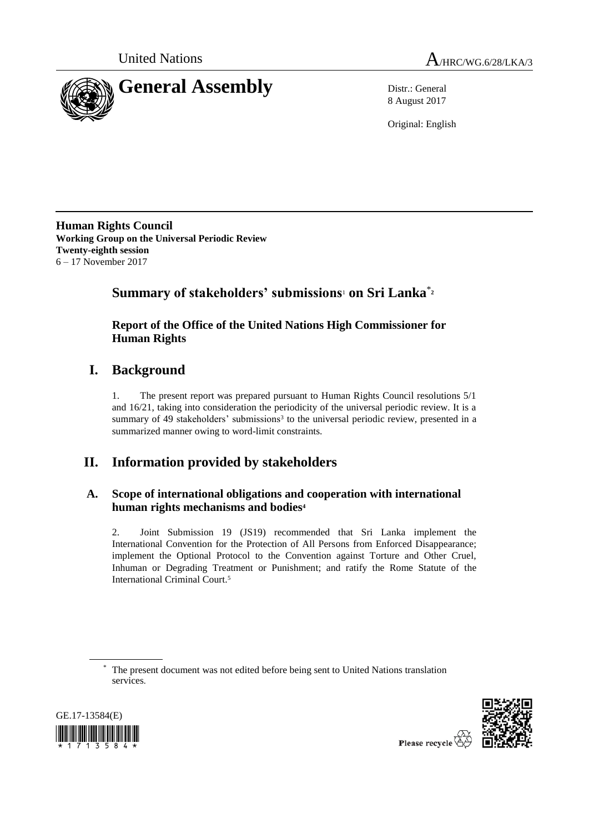



8 August 2017

Original: English

**Human Rights Council Working Group on the Universal Periodic Review Twenty-eighth session** 6 – 17 November 2017

# **Summary of stakeholders' submissions**<sup>1</sup> **on Sri Lanka**\***<sup>2</sup>**

# **Report of the Office of the United Nations High Commissioner for Human Rights**

# **I. Background**

1. The present report was prepared pursuant to Human Rights Council resolutions 5/1 and 16/21, taking into consideration the periodicity of the universal periodic review. It is a summary of 49 stakeholders' submissions<sup>3</sup> to the universal periodic review, presented in a summarized manner owing to word-limit constraints.

# **II. Information provided by stakeholders**

# **A. Scope of international obligations and cooperation with international human rights mechanisms and bodies<sup>4</sup>**

2. Joint Submission 19 (JS19) recommended that Sri Lanka implement the International Convention for the Protection of All Persons from Enforced Disappearance; implement the Optional Protocol to the Convention against Torture and Other Cruel, Inhuman or Degrading Treatment or Punishment; and ratify the Rome Statute of the International Criminal Court.<sup>5</sup>

<sup>\*</sup> The present document was not edited before being sent to United Nations translation services.





Please recycle  $\overleftrightarrow{\nabla}$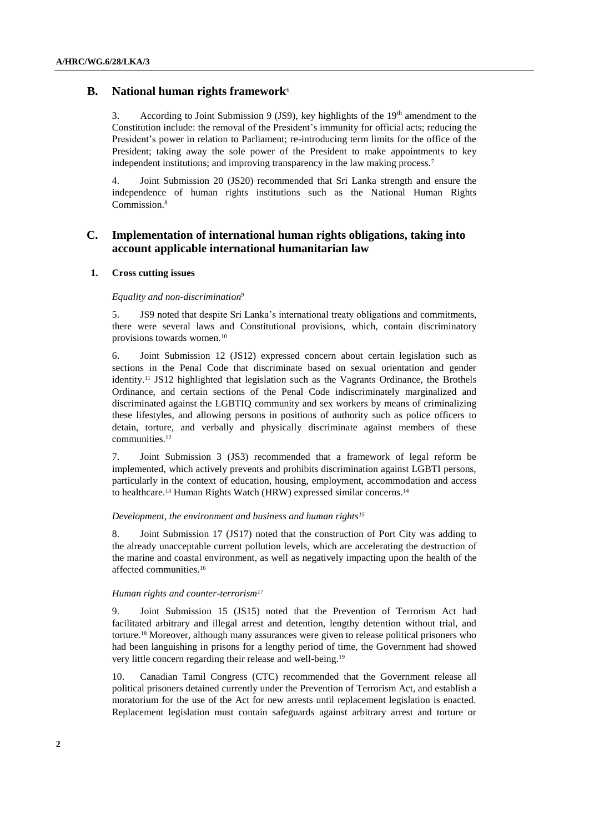# **B. National human rights framework**<sup>6</sup>

3. According to Joint Submission 9 (JS9), key highlights of the  $19<sup>th</sup>$  amendment to the Constitution include: the removal of the President's immunity for official acts; reducing the President's power in relation to Parliament; re-introducing term limits for the office of the President; taking away the sole power of the President to make appointments to key independent institutions; and improving transparency in the law making process.<sup>7</sup>

4. Joint Submission 20 (JS20) recommended that Sri Lanka strength and ensure the independence of human rights institutions such as the National Human Rights Commission.<sup>8</sup>

# **C. Implementation of international human rights obligations, taking into account applicable international humanitarian law**

#### **1. Cross cutting issues**

## *Equality and non-discrimination<sup>9</sup>*

5. JS9 noted that despite Sri Lanka's international treaty obligations and commitments, there were several laws and Constitutional provisions, which, contain discriminatory provisions towards women.<sup>10</sup>

6. Joint Submission 12 (JS12) expressed concern about certain legislation such as sections in the Penal Code that discriminate based on sexual orientation and gender identity. <sup>11</sup> JS12 highlighted that legislation such as the Vagrants Ordinance, the Brothels Ordinance, and certain sections of the Penal Code indiscriminately marginalized and discriminated against the LGBTIQ community and sex workers by means of criminalizing these lifestyles, and allowing persons in positions of authority such as police officers to detain, torture, and verbally and physically discriminate against members of these communities.<sup>12</sup>

7. Joint Submission 3 (JS3) recommended that a framework of legal reform be implemented, which actively prevents and prohibits discrimination against LGBTI persons, particularly in the context of education, housing, employment, accommodation and access to healthcare.<sup>13</sup> Human Rights Watch (HRW) expressed similar concerns.<sup>14</sup>

#### *Development, the environment and business and human rights<sup>15</sup>*

8. Joint Submission 17 (JS17) noted that the construction of Port City was adding to the already unacceptable current pollution levels, which are accelerating the destruction of the marine and coastal environment, as well as negatively impacting upon the health of the affected communities.<sup>16</sup>

#### *Human rights and counter-terrorism<sup>17</sup>*

9. Joint Submission 15 (JS15) noted that the Prevention of Terrorism Act had facilitated arbitrary and illegal arrest and detention, lengthy detention without trial, and torture.<sup>18</sup> Moreover, although many assurances were given to release political prisoners who had been languishing in prisons for a lengthy period of time, the Government had showed very little concern regarding their release and well-being.<sup>19</sup>

10. Canadian Tamil Congress (CTC) recommended that the Government release all political prisoners detained currently under the Prevention of Terrorism Act, and establish a moratorium for the use of the Act for new arrests until replacement legislation is enacted. Replacement legislation must contain safeguards against arbitrary arrest and torture or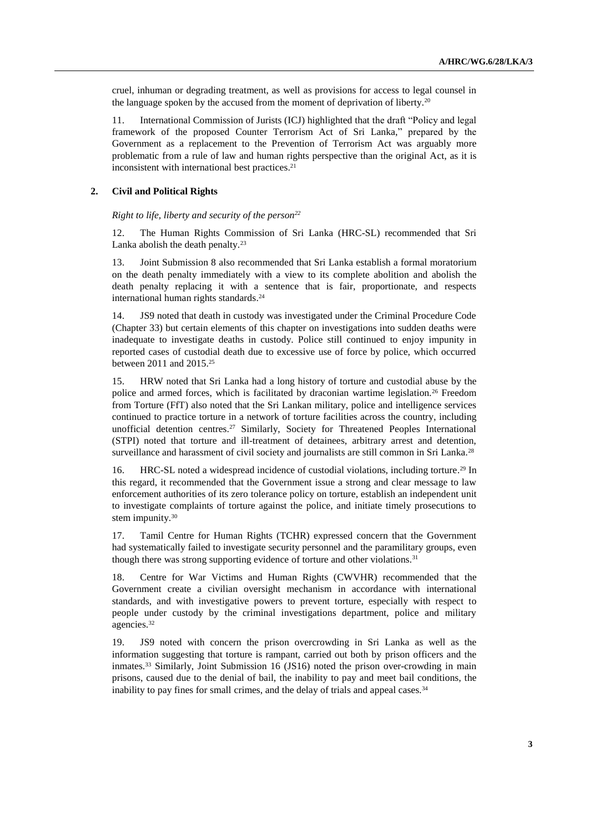cruel, inhuman or degrading treatment, as well as provisions for access to legal counsel in the language spoken by the accused from the moment of deprivation of liberty.<sup>20</sup>

11. International Commission of Jurists (ICJ) highlighted that the draft "Policy and legal framework of the proposed Counter Terrorism Act of Sri Lanka," prepared by the Government as a replacement to the Prevention of Terrorism Act was arguably more problematic from a rule of law and human rights perspective than the original Act, as it is inconsistent with international best practices.<sup>21</sup>

#### **2. Civil and Political Rights**

*Right to life, liberty and security of the person<sup>22</sup>*

12. The Human Rights Commission of Sri Lanka (HRC-SL) recommended that Sri Lanka abolish the death penalty.<sup>23</sup>

13. Joint Submission 8 also recommended that Sri Lanka establish a formal moratorium on the death penalty immediately with a view to its complete abolition and abolish the death penalty replacing it with a sentence that is fair, proportionate, and respects international human rights standards. 24

14. JS9 noted that death in custody was investigated under the Criminal Procedure Code (Chapter 33) but certain elements of this chapter on investigations into sudden deaths were inadequate to investigate deaths in custody. Police still continued to enjoy impunity in reported cases of custodial death due to excessive use of force by police, which occurred between 2011 and 2015.<sup>25</sup>

15. HRW noted that Sri Lanka had a long history of torture and custodial abuse by the police and armed forces, which is facilitated by draconian wartime legislation.<sup>26</sup> Freedom from Torture (FfT) also noted that the Sri Lankan military, police and intelligence services continued to practice torture in a network of torture facilities across the country, including unofficial detention centres.<sup>27</sup> Similarly, Society for Threatened Peoples International (STPI) noted that torture and ill-treatment of detainees, arbitrary arrest and detention, surveillance and harassment of civil society and journalists are still common in Sri Lanka.<sup>28</sup>

16. HRC-SL noted a widespread incidence of custodial violations, including torture. <sup>29</sup> In this regard, it recommended that the Government issue a strong and clear message to law enforcement authorities of its zero tolerance policy on torture, establish an independent unit to investigate complaints of torture against the police, and initiate timely prosecutions to stem impunity.<sup>30</sup>

17. Tamil Centre for Human Rights (TCHR) expressed concern that the Government had systematically failed to investigate security personnel and the paramilitary groups, even though there was strong supporting evidence of torture and other violations.<sup>31</sup>

18. Centre for War Victims and Human Rights (CWVHR) recommended that the Government create a civilian oversight mechanism in accordance with international standards, and with investigative powers to prevent torture, especially with respect to people under custody by the criminal investigations department, police and military agencies.<sup>32</sup>

19. JS9 noted with concern the prison overcrowding in Sri Lanka as well as the information suggesting that torture is rampant, carried out both by prison officers and the inmates.<sup>33</sup> Similarly, Joint Submission 16 (JS16) noted the prison over-crowding in main prisons, caused due to the denial of bail, the inability to pay and meet bail conditions, the inability to pay fines for small crimes, and the delay of trials and appeal cases.<sup>34</sup>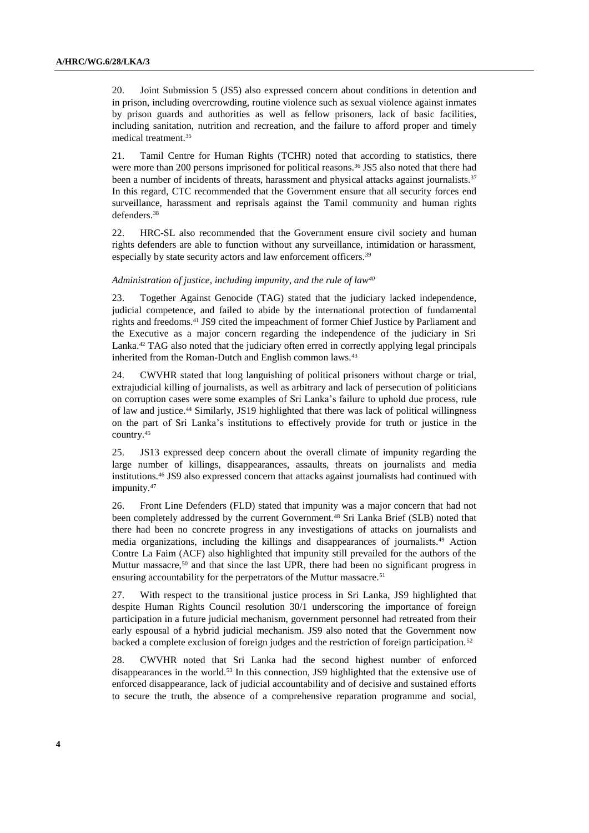20. Joint Submission 5 (JS5) also expressed concern about conditions in detention and in prison, including overcrowding, routine violence such as sexual violence against inmates by prison guards and authorities as well as fellow prisoners, lack of basic facilities, including sanitation, nutrition and recreation, and the failure to afford proper and timely medical treatment.<sup>35</sup>

21. Tamil Centre for Human Rights (TCHR) noted that according to statistics, there were more than 200 persons imprisoned for political reasons.<sup>36</sup> JS5 also noted that there had been a number of incidents of threats, harassment and physical attacks against journalists.<sup>37</sup> In this regard, CTC recommended that the Government ensure that all security forces end surveillance, harassment and reprisals against the Tamil community and human rights defenders.<sup>38</sup>

22. HRC-SL also recommended that the Government ensure civil society and human rights defenders are able to function without any surveillance, intimidation or harassment, especially by state security actors and law enforcement officers.<sup>39</sup>

#### *Administration of justice, including impunity, and the rule of law<sup>40</sup>*

23. Together Against Genocide (TAG) stated that the judiciary lacked independence, judicial competence, and failed to abide by the international protection of fundamental rights and freedoms.<sup>41</sup> JS9 cited the impeachment of former Chief Justice by Parliament and the Executive as a major concern regarding the independence of the judiciary in Sri Lanka.<sup>42</sup> TAG also noted that the judiciary often erred in correctly applying legal principals inherited from the Roman-Dutch and English common laws.<sup>43</sup>

24. CWVHR stated that long languishing of political prisoners without charge or trial, extrajudicial killing of journalists, as well as arbitrary and lack of persecution of politicians on corruption cases were some examples of Sri Lanka's failure to uphold due process, rule of law and justice.<sup>44</sup> Similarly, JS19 highlighted that there was lack of political willingness on the part of Sri Lanka's institutions to effectively provide for truth or justice in the country.<sup>45</sup>

25. JS13 expressed deep concern about the overall climate of impunity regarding the large number of killings, disappearances, assaults, threats on journalists and media institutions.<sup>46</sup> JS9 also expressed concern that attacks against journalists had continued with impunity.<sup>47</sup>

26. Front Line Defenders (FLD) stated that impunity was a major concern that had not been completely addressed by the current Government.<sup>48</sup> Sri Lanka Brief (SLB) noted that there had been no concrete progress in any investigations of attacks on journalists and media organizations, including the killings and disappearances of journalists.<sup>49</sup> Action Contre La Faim (ACF) also highlighted that impunity still prevailed for the authors of the Muttur massacre, $50$  and that since the last UPR, there had been no significant progress in ensuring accountability for the perpetrators of the Muttur massacre.<sup>51</sup>

27. With respect to the transitional justice process in Sri Lanka, JS9 highlighted that despite Human Rights Council resolution 30/1 underscoring the importance of foreign participation in a future judicial mechanism, government personnel had retreated from their early espousal of a hybrid judicial mechanism. JS9 also noted that the Government now backed a complete exclusion of foreign judges and the restriction of foreign participation.<sup>52</sup>

28. CWVHR noted that Sri Lanka had the second highest number of enforced disappearances in the world.<sup>53</sup> In this connection, JS9 highlighted that the extensive use of enforced disappearance, lack of judicial accountability and of decisive and sustained efforts to secure the truth, the absence of a comprehensive reparation programme and social,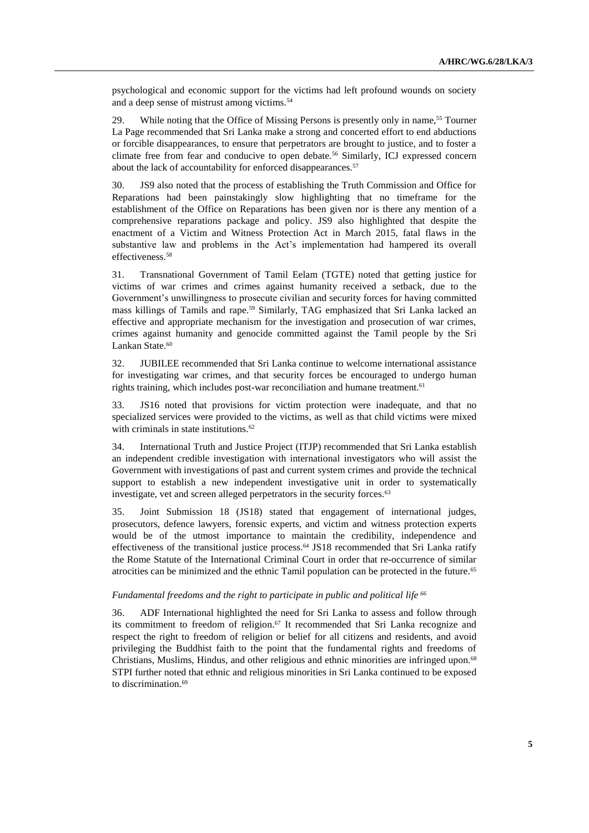psychological and economic support for the victims had left profound wounds on society and a deep sense of mistrust among victims.<sup>54</sup>

29. While noting that the Office of Missing Persons is presently only in name,<sup>55</sup> Tourner La Page recommended that Sri Lanka make a strong and concerted effort to end abductions or forcible disappearances, to ensure that perpetrators are brought to justice, and to foster a climate free from fear and conducive to open debate.<sup>56</sup> Similarly, ICJ expressed concern about the lack of accountability for enforced disappearances.<sup>57</sup>

30. JS9 also noted that the process of establishing the Truth Commission and Office for Reparations had been painstakingly slow highlighting that no timeframe for the establishment of the Office on Reparations has been given nor is there any mention of a comprehensive reparations package and policy. JS9 also highlighted that despite the enactment of a Victim and Witness Protection Act in March 2015, fatal flaws in the substantive law and problems in the Act's implementation had hampered its overall effectiveness.<sup>58</sup>

31. Transnational Government of Tamil Eelam (TGTE) noted that getting justice for victims of war crimes and crimes against humanity received a setback, due to the Government's unwillingness to prosecute civilian and security forces for having committed mass killings of Tamils and rape.<sup>59</sup> Similarly, TAG emphasized that Sri Lanka lacked an effective and appropriate mechanism for the investigation and prosecution of war crimes, crimes against humanity and genocide committed against the Tamil people by the Sri Lankan State.<sup>60</sup>

32. JUBILEE recommended that Sri Lanka continue to welcome international assistance for investigating war crimes, and that security forces be encouraged to undergo human rights training, which includes post-war reconciliation and humane treatment. 61

33. JS16 noted that provisions for victim protection were inadequate, and that no specialized services were provided to the victims, as well as that child victims were mixed with criminals in state institutions.<sup>62</sup>

34. International Truth and Justice Project (ITJP) recommended that Sri Lanka establish an independent credible investigation with international investigators who will assist the Government with investigations of past and current system crimes and provide the technical support to establish a new independent investigative unit in order to systematically investigate, vet and screen alleged perpetrators in the security forces.<sup>63</sup>

35. Joint Submission 18 (JS18) stated that engagement of international judges, prosecutors, defence lawyers, forensic experts, and victim and witness protection experts would be of the utmost importance to maintain the credibility, independence and effectiveness of the transitional justice process.<sup>64</sup> JS18 recommended that Sri Lanka ratify the Rome Statute of the International Criminal Court in order that re-occurrence of similar atrocities can be minimized and the ethnic Tamil population can be protected in the future.<sup>65</sup>

# *Fundamental freedoms and the right to participate in public and political life <sup>66</sup>*

36. ADF International highlighted the need for Sri Lanka to assess and follow through its commitment to freedom of religion. <sup>67</sup> It recommended that Sri Lanka recognize and respect the right to freedom of religion or belief for all citizens and residents, and avoid privileging the Buddhist faith to the point that the fundamental rights and freedoms of Christians, Muslims, Hindus, and other religious and ethnic minorities are infringed upon.<sup>68</sup> STPI further noted that ethnic and religious minorities in Sri Lanka continued to be exposed to discrimination.<sup>69</sup>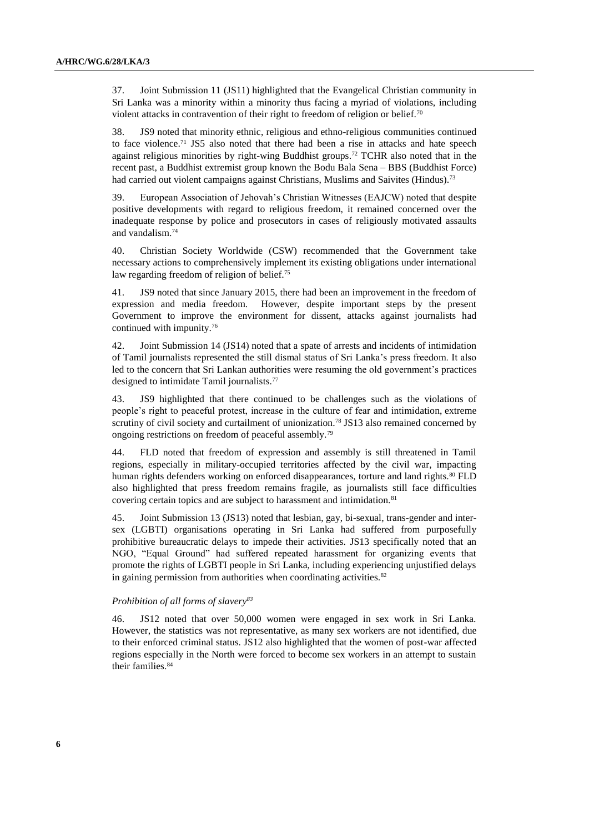37. Joint Submission 11 (JS11) highlighted that the Evangelical Christian community in Sri Lanka was a minority within a minority thus facing a myriad of violations, including violent attacks in contravention of their right to freedom of religion or belief.<sup>70</sup>

38. JS9 noted that minority ethnic, religious and ethno-religious communities continued to face violence.<sup>71</sup> JS5 also noted that there had been a rise in attacks and hate speech against religious minorities by right-wing Buddhist groups.<sup>72</sup> TCHR also noted that in the recent past, a Buddhist extremist group known the Bodu Bala Sena – BBS (Buddhist Force) had carried out violent campaigns against Christians, Muslims and Saivites (Hindus).<sup>73</sup>

39. European Association of Jehovah's Christian Witnesses (EAJCW) noted that despite positive developments with regard to religious freedom, it remained concerned over the inadequate response by police and prosecutors in cases of religiously motivated assaults and vandalism.<sup>74</sup>

40. Christian Society Worldwide (CSW) recommended that the Government take necessary actions to comprehensively implement its existing obligations under international law regarding freedom of religion of belief.<sup>75</sup>

41. JS9 noted that since January 2015, there had been an improvement in the freedom of expression and media freedom. However, despite important steps by the present Government to improve the environment for dissent, attacks against journalists had continued with impunity.<sup>76</sup>

42. Joint Submission 14 (JS14) noted that a spate of arrests and incidents of intimidation of Tamil journalists represented the still dismal status of Sri Lanka's press freedom. It also led to the concern that Sri Lankan authorities were resuming the old government's practices designed to intimidate Tamil journalists.<sup>77</sup>

43. JS9 highlighted that there continued to be challenges such as the violations of people's right to peaceful protest, increase in the culture of fear and intimidation, extreme scrutiny of civil society and curtailment of unionization.<sup>78</sup> JS13 also remained concerned by ongoing restrictions on freedom of peaceful assembly.<sup>79</sup>

44. FLD noted that freedom of expression and assembly is still threatened in Tamil regions, especially in military-occupied territories affected by the civil war, impacting human rights defenders working on enforced disappearances, torture and land rights.<sup>80</sup> FLD also highlighted that press freedom remains fragile, as journalists still face difficulties covering certain topics and are subject to harassment and intimidation.<sup>81</sup>

45. Joint Submission 13 (JS13) noted that lesbian, gay, bi-sexual, trans-gender and intersex (LGBTI) organisations operating in Sri Lanka had suffered from purposefully prohibitive bureaucratic delays to impede their activities. JS13 specifically noted that an NGO, "Equal Ground" had suffered repeated harassment for organizing events that promote the rights of LGBTI people in Sri Lanka, including experiencing unjustified delays in gaining permission from authorities when coordinating activities.<sup>82</sup>

### *Prohibition of all forms of slavery<sup>83</sup>*

46. JS12 noted that over 50,000 women were engaged in sex work in Sri Lanka. However, the statistics was not representative, as many sex workers are not identified, due to their enforced criminal status. JS12 also highlighted that the women of post-war affected regions especially in the North were forced to become sex workers in an attempt to sustain their families.<sup>84</sup>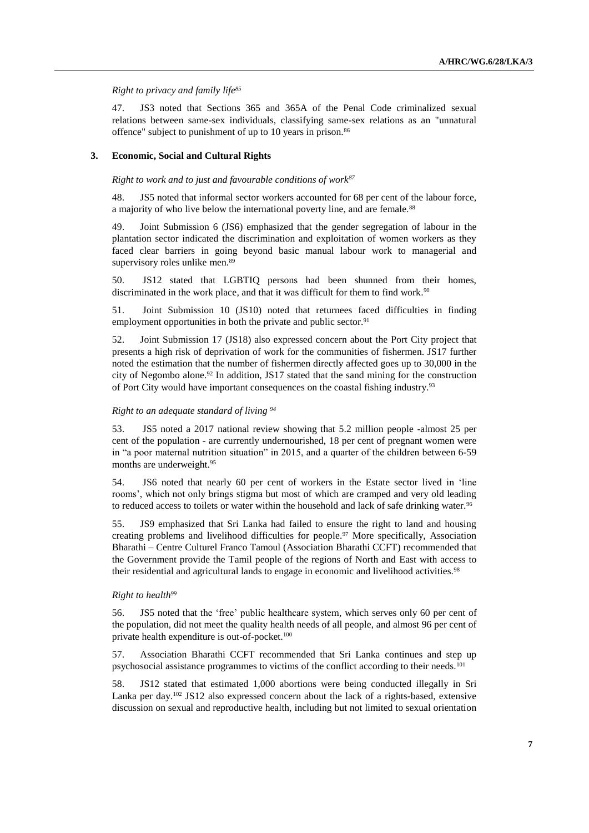*Right to privacy and family life<sup>85</sup>*

47. JS3 noted that Sections 365 and 365A of the Penal Code criminalized sexual relations between same-sex individuals, classifying same-sex relations as an "unnatural offence" subject to punishment of up to 10 years in prison.<sup>86</sup>

### **3. Economic, Social and Cultural Rights**

*Right to work and to just and favourable conditions of work<sup>87</sup>*

48. JS5 noted that informal sector workers accounted for 68 per cent of the labour force, a majority of who live below the international poverty line, and are female.<sup>88</sup>

49. Joint Submission 6 (JS6) emphasized that the gender segregation of labour in the plantation sector indicated the discrimination and exploitation of women workers as they faced clear barriers in going beyond basic manual labour work to managerial and supervisory roles unlike men.<sup>89</sup>

50. JS12 stated that LGBTIQ persons had been shunned from their homes, discriminated in the work place, and that it was difficult for them to find work.<sup>90</sup>

51. Joint Submission 10 (JS10) noted that returnees faced difficulties in finding employment opportunities in both the private and public sector.<sup>91</sup>

52. Joint Submission 17 (JS18) also expressed concern about the Port City project that presents a high risk of deprivation of work for the communities of fishermen. JS17 further noted the estimation that the number of fishermen directly affected goes up to 30,000 in the city of Negombo alone.<sup>92</sup> In addition, JS17 stated that the sand mining for the construction of Port City would have important consequences on the coastal fishing industry.<sup>93</sup>

# *Right to an adequate standard of living <sup>94</sup>*

53. JS5 noted a 2017 national review showing that 5.2 million people -almost 25 per cent of the population - are currently undernourished, 18 per cent of pregnant women were in "a poor maternal nutrition situation" in 2015, and a quarter of the children between 6-59 months are underweight.<sup>95</sup>

54. JS6 noted that nearly 60 per cent of workers in the Estate sector lived in 'line rooms', which not only brings stigma but most of which are cramped and very old leading to reduced access to toilets or water within the household and lack of safe drinking water.<sup>96</sup>

55. JS9 emphasized that Sri Lanka had failed to ensure the right to land and housing creating problems and livelihood difficulties for people.<sup>97</sup> More specifically, Association Bharathi – Centre Culturel Franco Tamoul (Association Bharathi CCFT) recommended that the Government provide the Tamil people of the regions of North and East with access to their residential and agricultural lands to engage in economic and livelihood activities.<sup>98</sup>

#### *Right to health<sup>99</sup>*

56. JS5 noted that the 'free' public healthcare system, which serves only 60 per cent of the population, did not meet the quality health needs of all people, and almost 96 per cent of private health expenditure is out-of-pocket.<sup>100</sup>

57. Association Bharathi CCFT recommended that Sri Lanka continues and step up psychosocial assistance programmes to victims of the conflict according to their needs.<sup>101</sup>

58. JS12 stated that estimated 1,000 abortions were being conducted illegally in Sri Lanka per day.<sup>102</sup> JS12 also expressed concern about the lack of a rights-based, extensive discussion on sexual and reproductive health, including but not limited to sexual orientation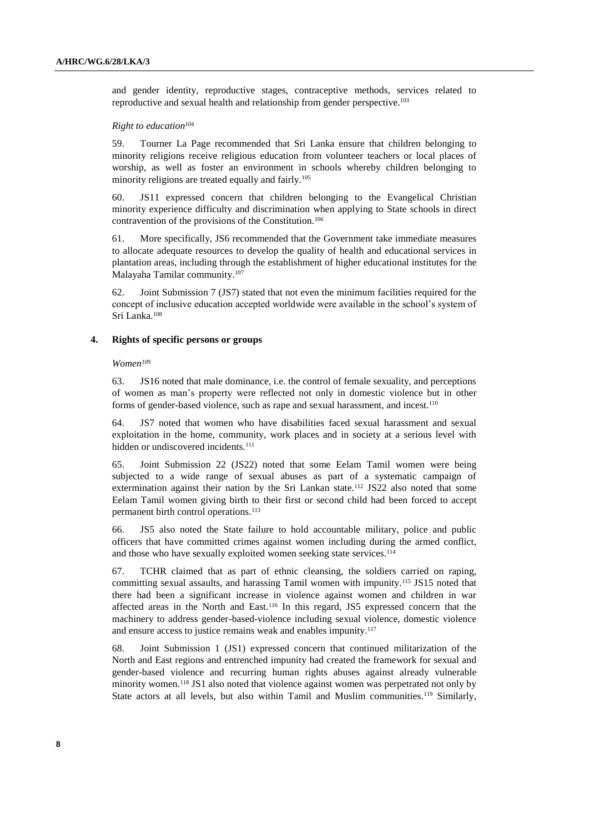and gender identity, reproductive stages, contraceptive methods, services related to reproductive and sexual health and relationship from gender perspective. 103

#### *Right to education<sup>104</sup>*

59. Tourner La Page recommended that Sri Lanka ensure that children belonging to minority religions receive religious education from volunteer teachers or local places of worship, as well as foster an environment in schools whereby children belonging to minority religions are treated equally and fairly.<sup>105</sup>

60. JS11 expressed concern that children belonging to the Evangelical Christian minority experience difficulty and discrimination when applying to State schools in direct contravention of the provisions of the Constitution.<sup>106</sup>

61. More specifically, JS6 recommended that the Government take immediate measures to allocate adequate resources to develop the quality of health and educational services in plantation areas, including through the establishment of higher educational institutes for the Malayaha Tamilar community.<sup>107</sup>

62. Joint Submission 7 (JS7) stated that not even the minimum facilities required for the concept of inclusive education accepted worldwide were available in the school's system of Sri Lanka.<sup>108</sup>

#### **4. Rights of specific persons or groups**

#### *Women<sup>109</sup>*

63. JS16 noted that male dominance, i.e. the control of female sexuality, and perceptions of women as man's property were reflected not only in domestic violence but in other forms of gender-based violence, such as rape and sexual harassment, and incest.<sup>110</sup>

64. JS7 noted that women who have disabilities faced sexual harassment and sexual exploitation in the home, community, work places and in society at a serious level with hidden or undiscovered incidents.<sup>111</sup>

65. Joint Submission 22 (JS22) noted that some Eelam Tamil women were being subjected to a wide range of sexual abuses as part of a systematic campaign of extermination against their nation by the Sri Lankan state.<sup>112</sup> JS22 also noted that some Eelam Tamil women giving birth to their first or second child had been forced to accept permanent birth control operations.<sup>113</sup>

66. JS5 also noted the State failure to hold accountable military, police and public officers that have committed crimes against women including during the armed conflict, and those who have sexually exploited women seeking state services.<sup>114</sup>

67. TCHR claimed that as part of ethnic cleansing, the soldiers carried on raping, committing sexual assaults, and harassing Tamil women with impunity.<sup>115</sup> JS15 noted that there had been a significant increase in violence against women and children in war affected areas in the North and East.<sup>116</sup> In this regard, JS5 expressed concern that the machinery to address gender-based-violence including sexual violence, domestic violence and ensure access to justice remains weak and enables impunity.<sup>117</sup>

68. Joint Submission 1 (JS1) expressed concern that continued militarization of the North and East regions and entrenched impunity had created the framework for sexual and gender-based violence and recurring human rights abuses against already vulnerable minority women.<sup>118</sup> JS1 also noted that violence against women was perpetrated not only by State actors at all levels, but also within Tamil and Muslim communities.<sup>119</sup> Similarly,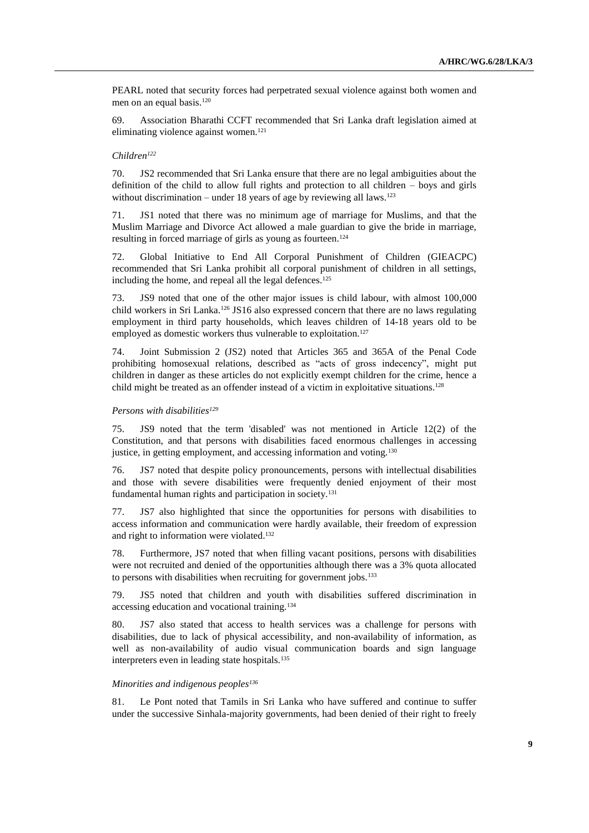PEARL noted that security forces had perpetrated sexual violence against both women and men on an equal basis.<sup>120</sup>

69. Association Bharathi CCFT recommended that Sri Lanka draft legislation aimed at eliminating violence against women.<sup>121</sup>

#### *Children<sup>122</sup>*

70. JS2 recommended that Sri Lanka ensure that there are no legal ambiguities about the definition of the child to allow full rights and protection to all children – boys and girls without discrimination – under 18 years of age by reviewing all laws.<sup>123</sup>

71. JS1 noted that there was no minimum age of marriage for Muslims, and that the Muslim Marriage and Divorce Act allowed a male guardian to give the bride in marriage, resulting in forced marriage of girls as young as fourteen.<sup>124</sup>

72. Global Initiative to End All Corporal Punishment of Children (GIEACPC) recommended that Sri Lanka prohibit all corporal punishment of children in all settings, including the home, and repeal all the legal defences.<sup>125</sup>

73. JS9 noted that one of the other major issues is child labour, with almost 100,000 child workers in Sri Lanka.<sup>126</sup> JS16 also expressed concern that there are no laws regulating employment in third party households, which leaves children of 14-18 years old to be employed as domestic workers thus vulnerable to exploitation.<sup>127</sup>

74. Joint Submission 2 (JS2) noted that Articles 365 and 365A of the Penal Code prohibiting homosexual relations, described as "acts of gross indecency", might put children in danger as these articles do not explicitly exempt children for the crime, hence a child might be treated as an offender instead of a victim in exploitative situations.<sup>128</sup>

### *Persons with disabilities<sup>129</sup>*

75. JS9 noted that the term 'disabled' was not mentioned in Article 12(2) of the Constitution, and that persons with disabilities faced enormous challenges in accessing justice, in getting employment, and accessing information and voting.<sup>130</sup>

76. JS7 noted that despite policy pronouncements, persons with intellectual disabilities and those with severe disabilities were frequently denied enjoyment of their most fundamental human rights and participation in society.<sup>131</sup>

77. JS7 also highlighted that since the opportunities for persons with disabilities to access information and communication were hardly available, their freedom of expression and right to information were violated.<sup>132</sup>

78. Furthermore, JS7 noted that when filling vacant positions, persons with disabilities were not recruited and denied of the opportunities although there was a 3% quota allocated to persons with disabilities when recruiting for government jobs.<sup>133</sup>

79. JS5 noted that children and youth with disabilities suffered discrimination in accessing education and vocational training.<sup>134</sup>

80. JS7 also stated that access to health services was a challenge for persons with disabilities, due to lack of physical accessibility, and non-availability of information, as well as non-availability of audio visual communication boards and sign language interpreters even in leading state hospitals.<sup>135</sup>

#### *Minorities and indigenous peoples<sup>136</sup>*

81. Le Pont noted that Tamils in Sri Lanka who have suffered and continue to suffer under the successive Sinhala-majority governments, had been denied of their right to freely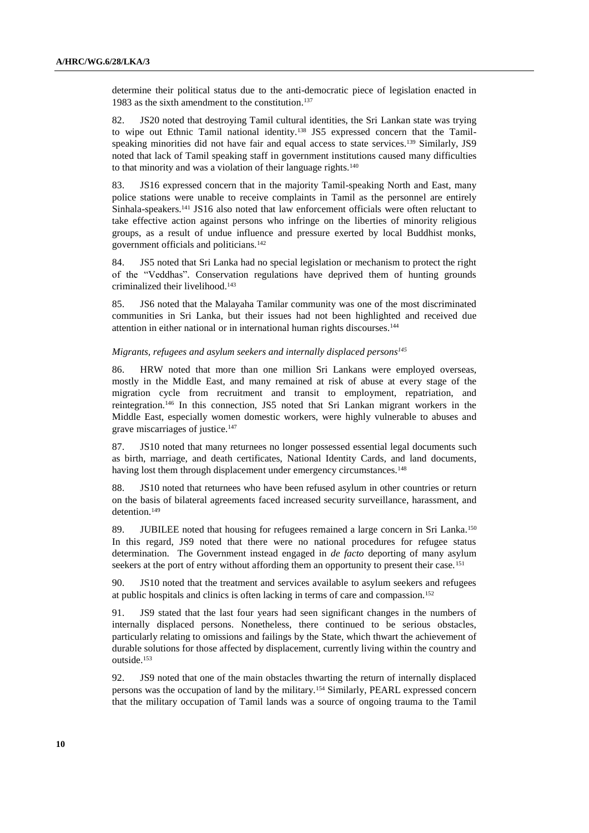determine their political status due to the anti-democratic piece of legislation enacted in 1983 as the sixth amendment to the constitution.<sup>137</sup>

82. JS20 noted that destroying Tamil cultural identities, the Sri Lankan state was trying to wipe out Ethnic Tamil national identity.<sup>138</sup> JS5 expressed concern that the Tamilspeaking minorities did not have fair and equal access to state services.<sup>139</sup> Similarly, JS9 noted that lack of Tamil speaking staff in government institutions caused many difficulties to that minority and was a violation of their language rights.<sup>140</sup>

83. JS16 expressed concern that in the majority Tamil-speaking North and East, many police stations were unable to receive complaints in Tamil as the personnel are entirely Sinhala-speakers.<sup>141</sup> JS16 also noted that law enforcement officials were often reluctant to take effective action against persons who infringe on the liberties of minority religious groups, as a result of undue influence and pressure exerted by local Buddhist monks, government officials and politicians.<sup>142</sup>

84. JS5 noted that Sri Lanka had no special legislation or mechanism to protect the right of the "Veddhas". Conservation regulations have deprived them of hunting grounds criminalized their livelihood.<sup>143</sup>

85. JS6 noted that the Malayaha Tamilar community was one of the most discriminated communities in Sri Lanka, but their issues had not been highlighted and received due attention in either national or in international human rights discourses.<sup>144</sup>

# *Migrants, refugees and asylum seekers and internally displaced persons<sup>145</sup>*

86. HRW noted that more than one million Sri Lankans were employed overseas, mostly in the Middle East, and many remained at risk of abuse at every stage of the migration cycle from recruitment and transit to employment, repatriation, and reintegration.<sup>146</sup> In this connection, JS5 noted that Sri Lankan migrant workers in the Middle East, especially women domestic workers, were highly vulnerable to abuses and grave miscarriages of justice.<sup>147</sup>

87. JS10 noted that many returnees no longer possessed essential legal documents such as birth, marriage, and death certificates, National Identity Cards, and land documents, having lost them through displacement under emergency circumstances.<sup>148</sup>

88. JS10 noted that returnees who have been refused asylum in other countries or return on the basis of bilateral agreements faced increased security surveillance, harassment, and detention.<sup>149</sup>

89. JUBILEE noted that housing for refugees remained a large concern in Sri Lanka.<sup>150</sup> In this regard, JS9 noted that there were no national procedures for refugee status determination. The Government instead engaged in *de facto* deporting of many asylum seekers at the port of entry without affording them an opportunity to present their case.<sup>151</sup>

90. JS10 noted that the treatment and services available to asylum seekers and refugees at public hospitals and clinics is often lacking in terms of care and compassion.<sup>152</sup>

91. JS9 stated that the last four years had seen significant changes in the numbers of internally displaced persons. Nonetheless, there continued to be serious obstacles, particularly relating to omissions and failings by the State, which thwart the achievement of durable solutions for those affected by displacement, currently living within the country and outside.<sup>153</sup>

92. JS9 noted that one of the main obstacles thwarting the return of internally displaced persons was the occupation of land by the military.<sup>154</sup> Similarly, PEARL expressed concern that the military occupation of Tamil lands was a source of ongoing trauma to the Tamil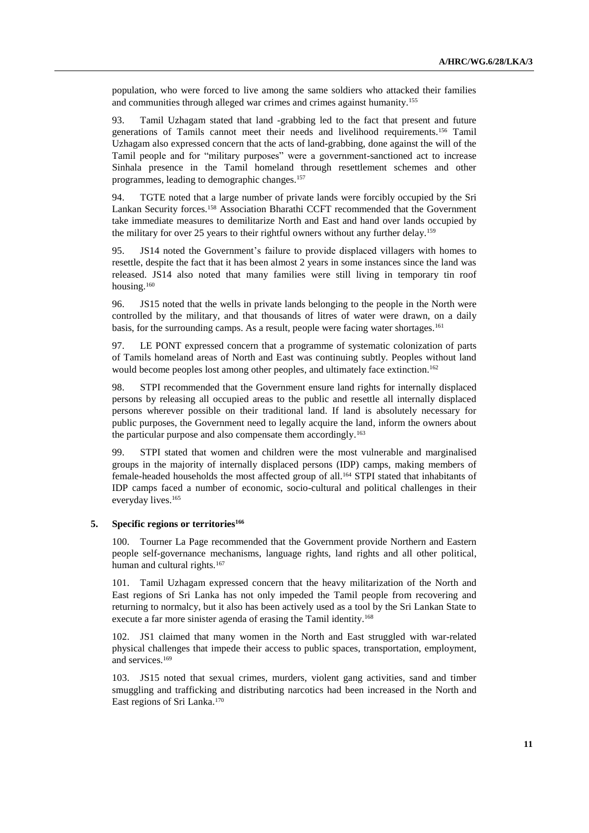population, who were forced to live among the same soldiers who attacked their families and communities through alleged war crimes and crimes against humanity.<sup>155</sup>

93. Tamil Uzhagam stated that land -grabbing led to the fact that present and future generations of Tamils cannot meet their needs and livelihood requirements.<sup>156</sup> Tamil Uzhagam also expressed concern that the acts of land-grabbing, done against the will of the Tamil people and for "military purposes" were a government-sanctioned act to increase Sinhala presence in the Tamil homeland through resettlement schemes and other programmes, leading to demographic changes.<sup>157</sup>

94. TGTE noted that a large number of private lands were forcibly occupied by the Sri Lankan Security forces.<sup>158</sup> Association Bharathi CCFT recommended that the Government take immediate measures to demilitarize North and East and hand over lands occupied by the military for over 25 years to their rightful owners without any further delay.<sup>159</sup>

95. JS14 noted the Government's failure to provide displaced villagers with homes to resettle, despite the fact that it has been almost 2 years in some instances since the land was released. JS14 also noted that many families were still living in temporary tin roof housing.<sup>160</sup>

96. JS15 noted that the wells in private lands belonging to the people in the North were controlled by the military, and that thousands of litres of water were drawn, on a daily basis, for the surrounding camps. As a result, people were facing water shortages.<sup>161</sup>

97. LE PONT expressed concern that a programme of systematic colonization of parts of Tamils homeland areas of North and East was continuing subtly. Peoples without land would become peoples lost among other peoples, and ultimately face extinction.<sup>162</sup>

98. STPI recommended that the Government ensure land rights for internally displaced persons by releasing all occupied areas to the public and resettle all internally displaced persons wherever possible on their traditional land. If land is absolutely necessary for public purposes, the Government need to legally acquire the land, inform the owners about the particular purpose and also compensate them accordingly.<sup>163</sup>

99. STPI stated that women and children were the most vulnerable and marginalised groups in the majority of internally displaced persons (IDP) camps, making members of female-headed households the most affected group of all.<sup>164</sup> STPI stated that inhabitants of IDP camps faced a number of economic, socio-cultural and political challenges in their everyday lives.<sup>165</sup>

## **5. Specific regions or territories<sup>166</sup>**

100. Tourner La Page recommended that the Government provide Northern and Eastern people self-governance mechanisms, language rights, land rights and all other political, human and cultural rights.<sup>167</sup>

101. Tamil Uzhagam expressed concern that the heavy militarization of the North and East regions of Sri Lanka has not only impeded the Tamil people from recovering and returning to normalcy, but it also has been actively used as a tool by the Sri Lankan State to execute a far more sinister agenda of erasing the Tamil identity.<sup>168</sup>

102. JS1 claimed that many women in the North and East struggled with war-related physical challenges that impede their access to public spaces, transportation, employment, and services.<sup>169</sup>

103. JS15 noted that sexual crimes, murders, violent gang activities, sand and timber smuggling and trafficking and distributing narcotics had been increased in the North and East regions of Sri Lanka. 170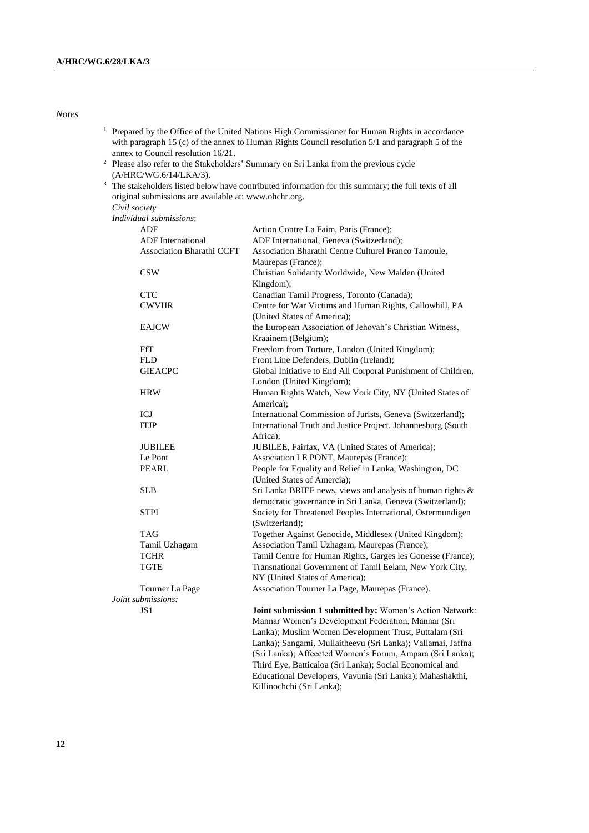## *Notes*

| <sup>1</sup> Prepared by the Office of the United Nations High Commissioner for Human Rights in accordance |
|------------------------------------------------------------------------------------------------------------|
| with paragraph 15 (c) of the annex to Human Rights Council resolution 5/1 and paragraph 5 of the           |
| annex to Council resolution 16/21.                                                                         |

- <sup>2</sup> Please also refer to the Stakeholders' Summary on Sri Lanka from the previous cycle (A/HRC/WG.6/14/LKA/3).
- <sup>3</sup> The stakeholders listed below have contributed information for this summary; the full texts of all original submissions are available at: [www.ohchr.org.](http://www.ohchr.org/)

*Civil society*

*Individual submissions*:

| ADF                              | Action Contre La Faim, Paris (France);                        |
|----------------------------------|---------------------------------------------------------------|
| <b>ADF</b> International         | ADF International, Geneva (Switzerland);                      |
| <b>Association Bharathi CCFT</b> | Association Bharathi Centre Culturel Franco Tamoule,          |
|                                  | Maurepas (France);                                            |
| <b>CSW</b>                       | Christian Solidarity Worldwide, New Malden (United            |
|                                  | Kingdom);                                                     |
| <b>CTC</b>                       | Canadian Tamil Progress, Toronto (Canada);                    |
| <b>CWVHR</b>                     | Centre for War Victims and Human Rights, Callowhill, PA       |
|                                  | (United States of America);                                   |
| <b>EAJCW</b>                     | the European Association of Jehovah's Christian Witness,      |
|                                  | Kraainem (Belgium);                                           |
| <b>FfT</b>                       | Freedom from Torture, London (United Kingdom);                |
| <b>FLD</b>                       | Front Line Defenders, Dublin (Ireland);                       |
| <b>GIEACPC</b>                   | Global Initiative to End All Corporal Punishment of Children, |
|                                  | London (United Kingdom);                                      |
| <b>HRW</b>                       | Human Rights Watch, New York City, NY (United States of       |
|                                  | America);                                                     |
| ICJ                              | International Commission of Jurists, Geneva (Switzerland);    |
| <b>ITJP</b>                      | International Truth and Justice Project, Johannesburg (South  |
|                                  | Africa);                                                      |
| <b>JUBILEE</b>                   | JUBILEE, Fairfax, VA (United States of America);              |
| Le Pont                          | Association LE PONT, Maurepas (France);                       |
| <b>PEARL</b>                     | People for Equality and Relief in Lanka, Washington, DC       |
|                                  | (United States of Amercia);                                   |
| <b>SLB</b>                       | Sri Lanka BRIEF news, views and analysis of human rights &    |
|                                  | democratic governance in Sri Lanka, Geneva (Switzerland);     |
| <b>STPI</b>                      | Society for Threatened Peoples International, Ostermundigen   |
|                                  | (Switzerland);                                                |
| <b>TAG</b>                       | Together Against Genocide, Middlesex (United Kingdom);        |
| Tamil Uzhagam                    | Association Tamil Uzhagam, Maurepas (France);                 |
| <b>TCHR</b>                      | Tamil Centre for Human Rights, Garges les Gonesse (France);   |
| <b>TGTE</b>                      | Transnational Government of Tamil Eelam, New York City,       |
|                                  | NY (United States of America);                                |
| Tourner La Page                  | Association Tourner La Page, Maurepas (France).               |
| Joint submissions:               |                                                               |
| JS1                              | Joint submission 1 submitted by: Women's Action Network:      |
|                                  | Mannar Women's Development Federation, Mannar (Sri            |
|                                  | Lanka); Muslim Women Development Trust, Puttalam (Sri         |
|                                  | Lanka); Sangami, Mullaitheevu (Sri Lanka); Vallamai, Jaffna   |
|                                  | (Sri Lanka); Affeceted Women's Forum, Ampara (Sri Lanka);     |

Killinochchi (Sri Lanka);

Third Eye, Batticaloa (Sri Lanka); Social Economical and Educational Developers, Vavunia (Sri Lanka); Mahashakthi,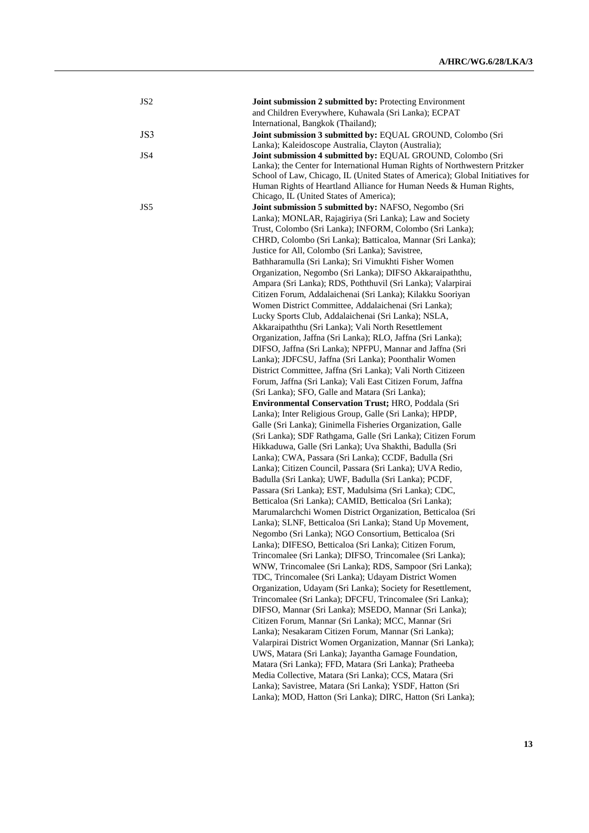| JS <sub>2</sub> | Joint submission 2 submitted by: Protecting Environment                       |
|-----------------|-------------------------------------------------------------------------------|
|                 | and Children Everywhere, Kuhawala (Sri Lanka); ECPAT                          |
|                 | International, Bangkok (Thailand);                                            |
| JS3             | Joint submission 3 submitted by: EQUAL GROUND, Colombo (Sri                   |
|                 | Lanka); Kaleidoscope Australia, Clayton (Australia);                          |
| JS4             | Joint submission 4 submitted by: EQUAL GROUND, Colombo (Sri                   |
|                 | Lanka); the Center for International Human Rights of Northwestern Pritzker    |
|                 | School of Law, Chicago, IL (United States of America); Global Initiatives for |
|                 | Human Rights of Heartland Alliance for Human Needs & Human Rights,            |
|                 | Chicago, IL (United States of America);                                       |
| JS5             | Joint submission 5 submitted by: NAFSO, Negombo (Sri                          |
|                 | Lanka); MONLAR, Rajagiriya (Sri Lanka); Law and Society                       |
|                 | Trust, Colombo (Sri Lanka); INFORM, Colombo (Sri Lanka);                      |
|                 | CHRD, Colombo (Sri Lanka); Batticaloa, Mannar (Sri Lanka);                    |
|                 | Justice for All, Colombo (Sri Lanka); Savistree,                              |
|                 | Bathharamulla (Sri Lanka); Sri Vimukhti Fisher Women                          |
|                 | Organization, Negombo (Sri Lanka); DIFSO Akkaraipaththu,                      |
|                 | Ampara (Sri Lanka); RDS, Poththuvil (Sri Lanka); Valarpirai                   |
|                 | Citizen Forum, Addalaichenai (Sri Lanka); Kilakku Sooriyan                    |
|                 | Women District Committee, Addalaichenai (Sri Lanka);                          |
|                 | Lucky Sports Club, Addalaichenai (Sri Lanka); NSLA,                           |
|                 | Akkaraipaththu (Sri Lanka); Vali North Resettlement                           |
|                 | Organization, Jaffna (Sri Lanka); RLO, Jaffna (Sri Lanka);                    |
|                 | DIFSO, Jaffna (Sri Lanka); NPFPU, Mannar and Jaffna (Sri                      |
|                 | Lanka); JDFCSU, Jaffna (Sri Lanka); Poonthalir Women                          |
|                 | District Committee, Jaffna (Sri Lanka); Vali North Citizeen                   |
|                 | Forum, Jaffna (Sri Lanka); Vali East Citizen Forum, Jaffna                    |
|                 | (Sri Lanka); SFO, Galle and Matara (Sri Lanka);                               |
|                 | <b>Environmental Conservation Trust; HRO, Poddala (Sri</b>                    |
|                 | Lanka); Inter Religious Group, Galle (Sri Lanka); HPDP,                       |
|                 | Galle (Sri Lanka); Ginimella Fisheries Organization, Galle                    |
|                 | (Sri Lanka); SDF Rathgama, Galle (Sri Lanka); Citizen Forum                   |
|                 | Hikkaduwa, Galle (Sri Lanka); Uva Shakthi, Badulla (Sri                       |
|                 | Lanka); CWA, Passara (Sri Lanka); CCDF, Badulla (Sri                          |
|                 | Lanka); Citizen Council, Passara (Sri Lanka); UVA Redio,                      |
|                 | Badulla (Sri Lanka); UWF, Badulla (Sri Lanka); PCDF,                          |
|                 | Passara (Sri Lanka); EST, Madulsima (Sri Lanka); CDC,                         |
|                 | Betticaloa (Sri Lanka); CAMID, Betticaloa (Sri Lanka);                        |
|                 | Marumalarchchi Women District Organization, Betticaloa (Sri                   |
|                 | Lanka); SLNF, Betticaloa (Sri Lanka); Stand Up Movement,                      |
|                 | Negombo (Sri Lanka); NGO Consortium, Betticaloa (Sri                          |
|                 | Lanka); DIFESO, Betticaloa (Sri Lanka); Citizen Forum,                        |
|                 | Trincomalee (Sri Lanka); DIFSO, Trincomalee (Sri Lanka);                      |
|                 | WNW, Trincomalee (Sri Lanka); RDS, Sampoor (Sri Lanka);                       |
|                 | TDC, Trincomalee (Sri Lanka); Udayam District Women                           |
|                 | Organization, Udayam (Sri Lanka); Society for Resettlement,                   |
|                 | Trincomalee (Sri Lanka); DFCFU, Trincomalee (Sri Lanka);                      |
|                 | DIFSO, Mannar (Sri Lanka); MSEDO, Mannar (Sri Lanka);                         |
|                 | Citizen Forum, Mannar (Sri Lanka); MCC, Mannar (Sri                           |
|                 | Lanka); Nesakaram Citizen Forum, Mannar (Sri Lanka);                          |
|                 | Valarpirai District Women Organization, Mannar (Sri Lanka);                   |
|                 | UWS, Matara (Sri Lanka); Jayantha Gamage Foundation,                          |
|                 | Matara (Sri Lanka); FFD, Matara (Sri Lanka); Pratheeba                        |
|                 | Media Collective, Matara (Sri Lanka); CCS, Matara (Sri                        |
|                 | Lanka); Savistree, Matara (Sri Lanka); YSDF, Hatton (Sri                      |
|                 | Lanka); MOD, Hatton (Sri Lanka); DIRC, Hatton (Sri Lanka);                    |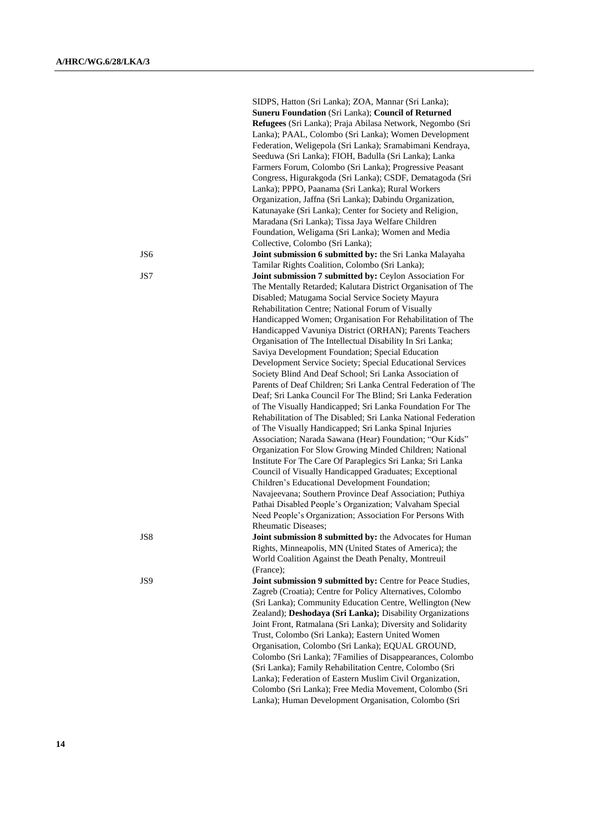|     | SIDPS, Hatton (Sri Lanka); ZOA, Mannar (Sri Lanka);           |
|-----|---------------------------------------------------------------|
|     | <b>Suneru Foundation (Sri Lanka); Council of Returned</b>     |
|     | Refugees (Sri Lanka); Praja Abilasa Network, Negombo (Sri     |
|     | Lanka); PAAL, Colombo (Sri Lanka); Women Development          |
|     | Federation, Weligepola (Sri Lanka); Sramabimani Kendraya,     |
|     | Seeduwa (Sri Lanka); FIOH, Badulla (Sri Lanka); Lanka         |
|     | Farmers Forum, Colombo (Sri Lanka); Progressive Peasant       |
|     | Congress, Higurakgoda (Sri Lanka); CSDF, Dematagoda (Sri      |
|     | Lanka); PPPO, Paanama (Sri Lanka); Rural Workers              |
|     |                                                               |
|     | Organization, Jaffna (Sri Lanka); Dabindu Organization,       |
|     | Katunayake (Sri Lanka); Center for Society and Religion,      |
|     | Maradana (Sri Lanka); Tissa Jaya Welfare Children             |
|     | Foundation, Weligama (Sri Lanka); Women and Media             |
|     | Collective, Colombo (Sri Lanka);                              |
| JS6 | Joint submission 6 submitted by: the Sri Lanka Malayaha       |
|     | Tamilar Rights Coalition, Colombo (Sri Lanka);                |
| JS7 | Joint submission 7 submitted by: Ceylon Association For       |
|     | The Mentally Retarded; Kalutara District Organisation of The  |
|     | Disabled; Matugama Social Service Society Mayura              |
|     | Rehabilitation Centre; National Forum of Visually             |
|     | Handicapped Women; Organisation For Rehabilitation of The     |
|     | Handicapped Vavuniya District (ORHAN); Parents Teachers       |
|     | Organisation of The Intellectual Disability In Sri Lanka;     |
|     | Saviya Development Foundation; Special Education              |
|     | Development Service Society; Special Educational Services     |
|     | Society Blind And Deaf School; Sri Lanka Association of       |
|     | Parents of Deaf Children; Sri Lanka Central Federation of The |
|     | Deaf; Sri Lanka Council For The Blind; Sri Lanka Federation   |
|     | of The Visually Handicapped; Sri Lanka Foundation For The     |
|     | Rehabilitation of The Disabled; Sri Lanka National Federation |
|     | of The Visually Handicapped; Sri Lanka Spinal Injuries        |
|     | Association; Narada Sawana (Hear) Foundation; "Our Kids"      |
|     |                                                               |
|     | Organization For Slow Growing Minded Children; National       |
|     | Institute For The Care Of Paraplegics Sri Lanka; Sri Lanka    |
|     | Council of Visually Handicapped Graduates; Exceptional        |
|     | Children's Educational Development Foundation;                |
|     | Navajeevana; Southern Province Deaf Association; Puthiya      |
|     | Pathai Disabled People's Organization; Valvaham Special       |
|     | Need People's Organization; Association For Persons With      |
|     | <b>Rheumatic Diseases:</b>                                    |
| JS8 | Joint submission 8 submitted by: the Advocates for Human      |
|     | Rights, Minneapolis, MN (United States of America); the       |
|     | World Coalition Against the Death Penalty, Montreuil          |
|     | (France);                                                     |
| JS9 | Joint submission 9 submitted by: Centre for Peace Studies,    |
|     | Zagreb (Croatia); Centre for Policy Alternatives, Colombo     |
|     | (Sri Lanka); Community Education Centre, Wellington (New      |
|     | Zealand); Deshodaya (Sri Lanka); Disability Organizations     |
|     | Joint Front, Ratmalana (Sri Lanka); Diversity and Solidarity  |
|     | Trust, Colombo (Sri Lanka); Eastern United Women              |
|     | Organisation, Colombo (Sri Lanka); EQUAL GROUND,              |
|     | Colombo (Sri Lanka); 7Families of Disappearances, Colombo     |
|     | (Sri Lanka); Family Rehabilitation Centre, Colombo (Sri       |
|     | Lanka); Federation of Eastern Muslim Civil Organization,      |
|     |                                                               |
|     | Colombo (Sri Lanka); Free Media Movement, Colombo (Sri        |
|     | Lanka); Human Development Organisation, Colombo (Sri          |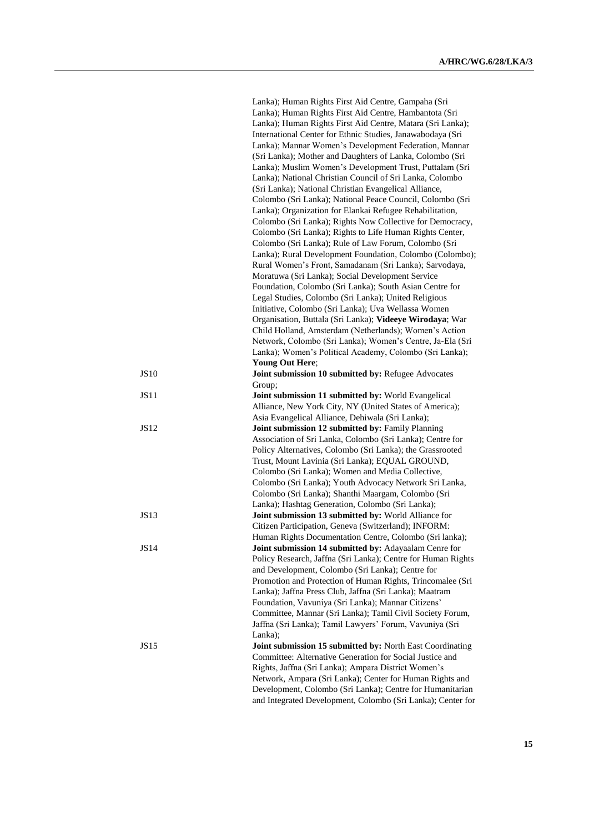|             | Lanka); Human Rights First Aid Centre, Gampaha (Sri<br>Lanka); Human Rights First Aid Centre, Hambantota (Sri<br>Lanka); Human Rights First Aid Centre, Matara (Sri Lanka); |
|-------------|-----------------------------------------------------------------------------------------------------------------------------------------------------------------------------|
|             | International Center for Ethnic Studies, Janawabodaya (Sri<br>Lanka); Mannar Women's Development Federation, Mannar                                                         |
|             | (Sri Lanka); Mother and Daughters of Lanka, Colombo (Sri                                                                                                                    |
|             | Lanka); Muslim Women's Development Trust, Puttalam (Sri                                                                                                                     |
|             | Lanka); National Christian Council of Sri Lanka, Colombo                                                                                                                    |
|             | (Sri Lanka); National Christian Evangelical Alliance,<br>Colombo (Sri Lanka); National Peace Council, Colombo (Sri                                                          |
|             | Lanka); Organization for Elankai Refugee Rehabilitation,                                                                                                                    |
|             | Colombo (Sri Lanka); Rights Now Collective for Democracy,                                                                                                                   |
|             | Colombo (Sri Lanka); Rights to Life Human Rights Center,<br>Colombo (Sri Lanka); Rule of Law Forum, Colombo (Sri                                                            |
|             | Lanka); Rural Development Foundation, Colombo (Colombo);                                                                                                                    |
|             | Rural Women's Front, Samadanam (Sri Lanka); Sarvodaya,                                                                                                                      |
|             | Moratuwa (Sri Lanka); Social Development Service                                                                                                                            |
|             | Foundation, Colombo (Sri Lanka); South Asian Centre for<br>Legal Studies, Colombo (Sri Lanka); United Religious                                                             |
|             | Initiative, Colombo (Sri Lanka); Uva Wellassa Women                                                                                                                         |
|             | Organisation, Buttala (Sri Lanka); Videeye Wirodaya; War                                                                                                                    |
|             | Child Holland, Amsterdam (Netherlands); Women's Action                                                                                                                      |
|             | Network, Colombo (Sri Lanka); Women's Centre, Ja-Ela (Sri<br>Lanka); Women's Political Academy, Colombo (Sri Lanka);                                                        |
|             | <b>Young Out Here;</b>                                                                                                                                                      |
| <b>JS10</b> | Joint submission 10 submitted by: Refugee Advocates                                                                                                                         |
|             | Group;                                                                                                                                                                      |
| <b>JS11</b> | Joint submission 11 submitted by: World Evangelical<br>Alliance, New York City, NY (United States of America);                                                              |
|             | Asia Evangelical Alliance, Dehiwala (Sri Lanka);                                                                                                                            |
| <b>JS12</b> | Joint submission 12 submitted by: Family Planning                                                                                                                           |
|             | Association of Sri Lanka, Colombo (Sri Lanka); Centre for                                                                                                                   |
|             | Policy Alternatives, Colombo (Sri Lanka); the Grassrooted<br>Trust, Mount Lavinia (Sri Lanka); EQUAL GROUND,                                                                |
|             | Colombo (Sri Lanka); Women and Media Collective,                                                                                                                            |
|             | Colombo (Sri Lanka); Youth Advocacy Network Sri Lanka,                                                                                                                      |
|             | Colombo (Sri Lanka); Shanthi Maargam, Colombo (Sri                                                                                                                          |
| <b>JS13</b> | Lanka); Hashtag Generation, Colombo (Sri Lanka);                                                                                                                            |
|             | Joint submission 13 submitted by: World Alliance for<br>Citizen Participation, Geneva (Switzerland); INFORM:                                                                |
|             | Human Rights Documentation Centre, Colombo (Sri lanka);                                                                                                                     |
| JS14        | Joint submission 14 submitted by: Adayaalam Cenre for                                                                                                                       |
|             | Policy Research, Jaffna (Sri Lanka); Centre for Human Rights<br>and Development, Colombo (Sri Lanka); Centre for                                                            |
|             | Promotion and Protection of Human Rights, Trincomalee (Sri                                                                                                                  |
|             | Lanka); Jaffna Press Club, Jaffna (Sri Lanka); Maatram                                                                                                                      |
|             | Foundation, Vavuniya (Sri Lanka); Mannar Citizens'                                                                                                                          |
|             | Committee, Mannar (Sri Lanka); Tamil Civil Society Forum,                                                                                                                   |
|             | Jaffna (Sri Lanka); Tamil Lawyers' Forum, Vavuniya (Sri<br>Lanka);                                                                                                          |
| JS15        | Joint submission 15 submitted by: North East Coordinating                                                                                                                   |
|             | Committee: Alternative Generation for Social Justice and                                                                                                                    |
|             | Rights, Jaffna (Sri Lanka); Ampara District Women's                                                                                                                         |
|             | Network, Ampara (Sri Lanka); Center for Human Rights and<br>Development, Colombo (Sri Lanka); Centre for Humanitarian                                                       |
|             | and Integrated Development, Colombo (Sri Lanka); Center for                                                                                                                 |
|             |                                                                                                                                                                             |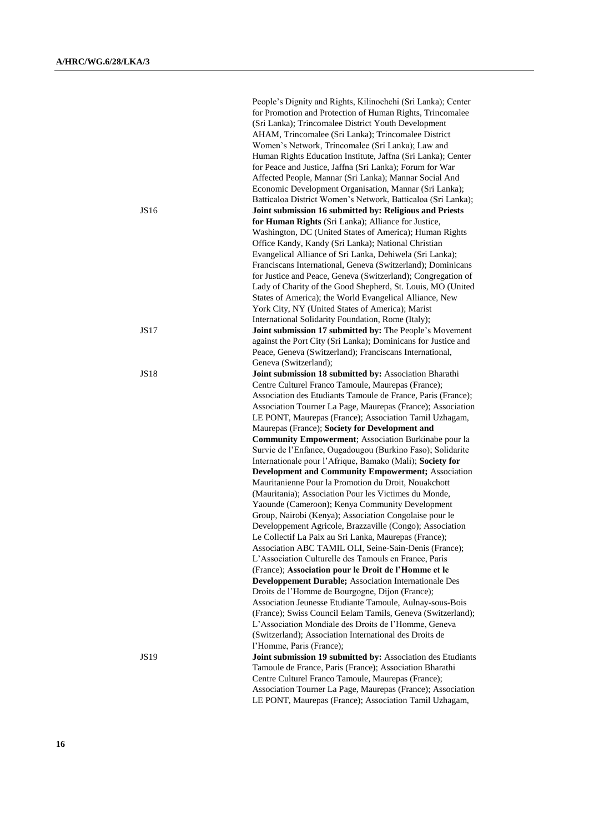|             | People's Dignity and Rights, Kilinochchi (Sri Lanka); Center<br>for Promotion and Protection of Human Rights, Trincomalee |
|-------------|---------------------------------------------------------------------------------------------------------------------------|
|             | (Sri Lanka); Trincomalee District Youth Development                                                                       |
|             | AHAM, Trincomalee (Sri Lanka); Trincomalee District                                                                       |
|             | Women's Network, Trincomalee (Sri Lanka); Law and                                                                         |
|             | Human Rights Education Institute, Jaffna (Sri Lanka); Center                                                              |
|             | for Peace and Justice, Jaffna (Sri Lanka); Forum for War                                                                  |
|             | Affected People, Mannar (Sri Lanka); Mannar Social And                                                                    |
|             | Economic Development Organisation, Mannar (Sri Lanka);                                                                    |
|             | Batticaloa District Women's Network, Batticaloa (Sri Lanka);                                                              |
| JS16        | Joint submission 16 submitted by: Religious and Priests                                                                   |
|             | for Human Rights (Sri Lanka); Alliance for Justice,                                                                       |
|             | Washington, DC (United States of America); Human Rights                                                                   |
|             | Office Kandy, Kandy (Sri Lanka); National Christian                                                                       |
|             | Evangelical Alliance of Sri Lanka, Dehiwela (Sri Lanka);                                                                  |
|             | Franciscans International, Geneva (Switzerland); Dominicans                                                               |
|             | for Justice and Peace, Geneva (Switzerland); Congregation of                                                              |
|             | Lady of Charity of the Good Shepherd, St. Louis, MO (United                                                               |
|             | States of America); the World Evangelical Alliance, New                                                                   |
|             | York City, NY (United States of America); Marist                                                                          |
|             | International Solidarity Foundation, Rome (Italy);<br>Joint submission 17 submitted by: The People's Movement             |
| JS17        | against the Port City (Sri Lanka); Dominicans for Justice and                                                             |
|             | Peace, Geneva (Switzerland); Franciscans International,                                                                   |
|             | Geneva (Switzerland);                                                                                                     |
| <b>JS18</b> | Joint submission 18 submitted by: Association Bharathi                                                                    |
|             | Centre Culturel Franco Tamoule, Maurepas (France);                                                                        |
|             | Association des Etudiants Tamoule de France, Paris (France);                                                              |
|             | Association Tourner La Page, Maurepas (France); Association                                                               |
|             | LE PONT, Maurepas (France); Association Tamil Uzhagam,                                                                    |
|             | Maurepas (France); Society for Development and                                                                            |
|             | <b>Community Empowerment</b> ; Association Burkinabe pour la                                                              |
|             | Survie de l'Enfance, Ougadougou (Burkino Faso); Solidarite                                                                |
|             | Internationale pour l'Afrique, Bamako (Mali); Society for                                                                 |
|             | <b>Development and Community Empowerment; Association</b>                                                                 |
|             | Mauritanienne Pour la Promotion du Droit, Nouakchott                                                                      |
|             | (Mauritania); Association Pour les Victimes du Monde,                                                                     |
|             | Yaounde (Cameroon); Kenya Community Development                                                                           |
|             | Group, Nairobi (Kenya); Association Congolaise pour le                                                                    |
|             | Developpement Agricole, Brazzaville (Congo); Association<br>Le Collectif La Paix au Sri Lanka, Maurepas (France);         |
|             | Association ABC TAMIL OLI, Seine-Sain-Denis (France);                                                                     |
|             | L'Association Culturelle des Tamouls en France, Paris                                                                     |
|             | (France); Association pour le Droit de l'Homme et le                                                                      |
|             | <b>Developpement Durable; Association Internationale Des</b>                                                              |
|             | Droits de l'Homme de Bourgogne, Dijon (France);                                                                           |
|             | Association Jeunesse Etudiante Tamoule, Aulnay-sous-Bois                                                                  |
|             | (France); Swiss Council Eelam Tamils, Geneva (Switzerland);                                                               |
|             | L'Association Mondiale des Droits de l'Homme, Geneva                                                                      |
|             | (Switzerland); Association International des Droits de                                                                    |
|             | l'Homme, Paris (France);                                                                                                  |
| JS19        | Joint submission 19 submitted by: Association des Etudiants                                                               |
|             | Tamoule de France, Paris (France); Association Bharathi                                                                   |
|             | Centre Culturel Franco Tamoule, Maurepas (France);                                                                        |
|             | Association Tourner La Page, Maurepas (France); Association                                                               |
|             | LE PONT, Maurepas (France); Association Tamil Uzhagam,                                                                    |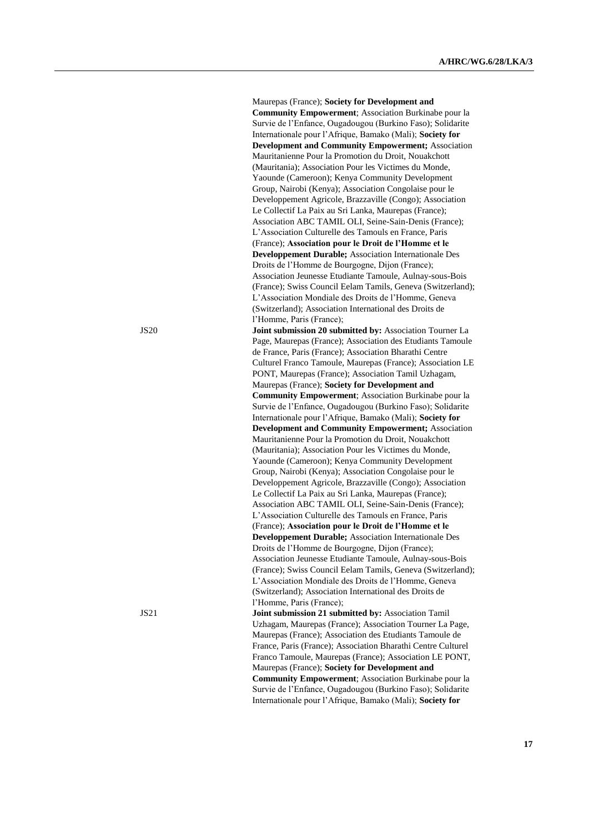Maurepas (France); **Society for Development and Community Empowerment**; Association Burkinabe pour la Survie de l'Enfance, Ougadougou (Burkino Faso); Solidarite Internationale pour l'Afrique, Bamako (Mali); **Society for Development and Community Empowerment;** Association Mauritanienne Pour la Promotion du Droit, Nouakchott (Mauritania); Association Pour les Victimes du Monde, Yaounde (Cameroon); Kenya Community Development Group, Nairobi (Kenya); Association Congolaise pour le Developpement Agricole, Brazzaville (Congo); Association Le Collectif La Paix au Sri Lanka, Maurepas (France); Association ABC TAMIL OLI, Seine-Sain-Denis (France); L'Association Culturelle des Tamouls en France, Paris (France); **Association pour le Droit de l'Homme et le Developpement Durable;** Association Internationale Des Droits de l'Homme de Bourgogne, Dijon (France); Association Jeunesse Etudiante Tamoule, Aulnay-sous-Bois (France); Swiss Council Eelam Tamils, Geneva (Switzerland); L'Association Mondiale des Droits de l'Homme, Geneva (Switzerland); Association International des Droits de l'Homme, Paris (France); JS20 **Joint submission 20 submitted by:** Association Tourner La Page, Maurepas (France); Association des Etudiants Tamoule de France, Paris (France); Association Bharathi Centre Culturel Franco Tamoule, Maurepas (France); Association LE PONT, Maurepas (France); Association Tamil Uzhagam, Maurepas (France); **Society for Development and Community Empowerment**; Association Burkinabe pour la Survie de l'Enfance, Ougadougou (Burkino Faso); Solidarite Internationale pour l'Afrique, Bamako (Mali); **Society for Development and Community Empowerment;** Association Mauritanienne Pour la Promotion du Droit, Nouakchott (Mauritania); Association Pour les Victimes du Monde, Yaounde (Cameroon); Kenya Community Development Group, Nairobi (Kenya); Association Congolaise pour le Developpement Agricole, Brazzaville (Congo); Association Le Collectif La Paix au Sri Lanka, Maurepas (France); Association ABC TAMIL OLI, Seine-Sain-Denis (France); L'Association Culturelle des Tamouls en France, Paris (France); **Association pour le Droit de l'Homme et le Developpement Durable;** Association Internationale Des Droits de l'Homme de Bourgogne, Dijon (France); Association Jeunesse Etudiante Tamoule, Aulnay-sous-Bois (France); Swiss Council Eelam Tamils, Geneva (Switzerland); L'Association Mondiale des Droits de l'Homme, Geneva (Switzerland); Association International des Droits de l'Homme, Paris (France); JS21 **Joint submission 21 submitted by:** Association Tamil Uzhagam, Maurepas (France); Association Tourner La Page, Maurepas (France); Association des Etudiants Tamoule de France, Paris (France); Association Bharathi Centre Culturel Franco Tamoule, Maurepas (France); Association LE PONT, Maurepas (France); **Society for Development and Community Empowerment**; Association Burkinabe pour la

Survie de l'Enfance, Ougadougou (Burkino Faso); Solidarite Internationale pour l'Afrique, Bamako (Mali); **Society for**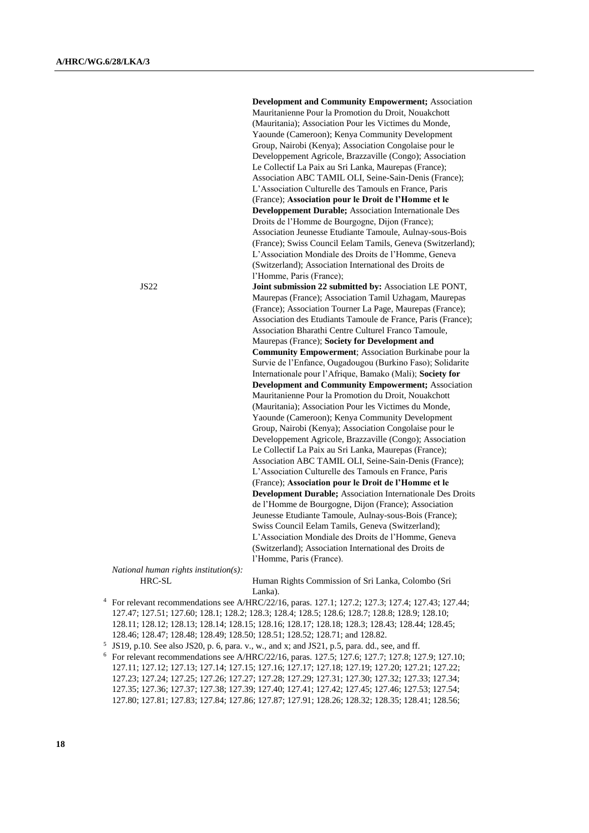**Development and Community Empowerment;** Association Mauritanienne Pour la Promotion du Droit, Nouakchott (Mauritania); Association Pour les Victimes du Monde, Yaounde (Cameroon); Kenya Community Development Group, Nairobi (Kenya); Association Congolaise pour le Developpement Agricole, Brazzaville (Congo); Association Le Collectif La Paix au Sri Lanka, Maurepas (France); Association ABC TAMIL OLI, Seine-Sain-Denis (France); L'Association Culturelle des Tamouls en France, Paris (France); **Association pour le Droit de l'Homme et le Developpement Durable;** Association Internationale Des Droits de l'Homme de Bourgogne, Dijon (France); Association Jeunesse Etudiante Tamoule, Aulnay-sous-Bois (France); Swiss Council Eelam Tamils, Geneva (Switzerland); L'Association Mondiale des Droits de l'Homme, Geneva (Switzerland); Association International des Droits de l'Homme, Paris (France); JS22 **Joint submission 22 submitted by:** Association LE PONT, Maurepas (France); Association Tamil Uzhagam, Maurepas (France); Association Tourner La Page, Maurepas (France); Association des Etudiants Tamoule de France, Paris (France); Association Bharathi Centre Culturel Franco Tamoule, Maurepas (France); **Society for Development and Community Empowerment**; Association Burkinabe pour la Survie de l'Enfance, Ougadougou (Burkino Faso); Solidarite Internationale pour l'Afrique, Bamako (Mali); **Society for Development and Community Empowerment;** Association Mauritanienne Pour la Promotion du Droit, Nouakchott (Mauritania); Association Pour les Victimes du Monde,

Yaounde (Cameroon); Kenya Community Development Group, Nairobi (Kenya); Association Congolaise pour le Developpement Agricole, Brazzaville (Congo); Association Le Collectif La Paix au Sri Lanka, Maurepas (France); Association ABC TAMIL OLI, Seine-Sain-Denis (France); L'Association Culturelle des Tamouls en France, Paris (France); **Association pour le Droit de l'Homme et le Development Durable;** Association Internationale Des Droits de l'Homme de Bourgogne, Dijon (France); Association Jeunesse Etudiante Tamoule, Aulnay-sous-Bois (France); Swiss Council Eelam Tamils, Geneva (Switzerland); L'Association Mondiale des Droits de l'Homme, Geneva (Switzerland); Association International des Droits de l'Homme, Paris (France).

*National human rights institution(s):*

HRC-SL Human Rights Commission of Sri Lanka, Colombo (Sri Lanka).

- <sup>4</sup> For relevant recommendations see A/HRC/22/16, paras. 127.1; 127.2; 127.3; 127.4; 127.43; 127.44; 127.47; 127.51; 127.60; 128.1; 128.2; 128.3; 128.4; 128.5; 128.6; 128.7; 128.8; 128.9; 128.10; 128.11; 128.12; 128.13; 128.14; 128.15; 128.16; 128.17; 128.18; 128.3; 128.43; 128.44; 128.45; 128.46; 128.47; 128.48; 128.49; 128.50; 128.51; 128.52; 128.71; and 128.82.
- 5 JS19, p.10. See also JS20, p. 6, para. v., w., and x; and JS21, p.5, para. dd., see, and ff.
- <sup>6</sup> For relevant recommendations see A/HRC/22/16, paras. 127.5; 127.6; 127.7; 127.8; 127.9; 127.10; 127.11; 127.12; 127.13; 127.14; 127.15; 127.16; 127.17; 127.18; 127.19; 127.20; 127.21; 127.22; 127.23; 127.24; 127.25; 127.26; 127.27; 127.28; 127.29; 127.31; 127.30; 127.32; 127.33; 127.34; 127.35; 127.36; 127.37; 127.38; 127.39; 127.40; 127.41; 127.42; 127.45; 127.46; 127.53; 127.54; 127.80; 127.81; 127.83; 127.84; 127.86; 127.87; 127.91; 128.26; 128.32; 128.35; 128.41; 128.56;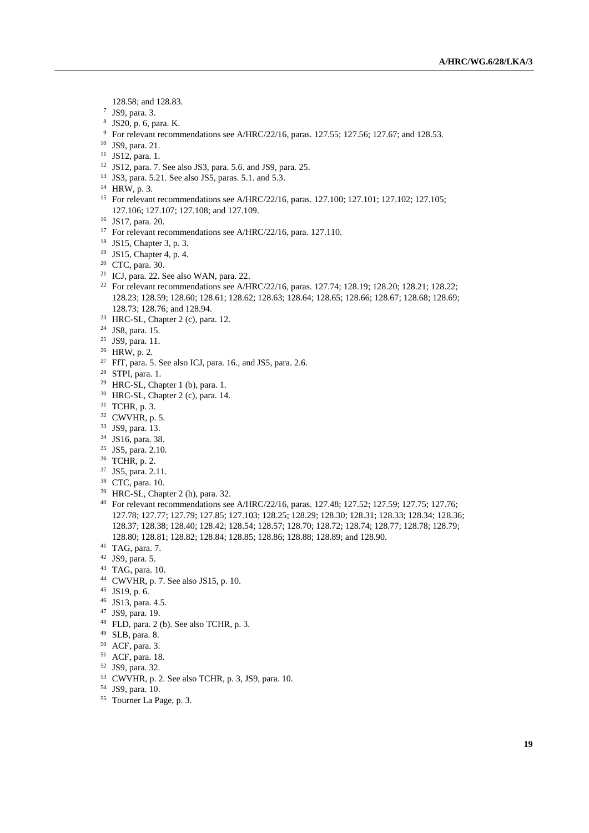128.58; and 128.83.

- JS9, para. 3.
- JS20, p. 6, para. K.
- <sup>9</sup> For relevant recommendations see A/HRC/22/16, paras. 127.55; 127.56; 127.67; and 128.53.
- JS9, para. 21.
- JS12, para. 1.
- JS12, para. 7. See also JS3, para. 5.6. and JS9, para. 25.
- JS3, para. 5.21. See also JS5, paras. 5.1. and 5.3.
- HRW, p. 3.
- For relevant recommendations see A/HRC/22/16, paras. 127.100; 127.101; 127.102; 127.105; 127.106; 127.107; 127.108; and 127.109.
- JS17, para. 20.
- <sup>17</sup> For relevant recommendations see A/HRC/22/16, para. 127.110.
- JS15, Chapter 3, p. 3.
- JS15, Chapter 4, p. 4.
- CTC, para. 30.
- ICJ, para. 22. See also WAN, para. 22.
- <sup>22</sup> For relevant recommendations see A/HRC/22/16, paras. 127.74; 128.19; 128.20; 128.21; 128.22; 128.23; 128.59; 128.60; 128.61; 128.62; 128.63; 128.64; 128.65; 128.66; 128.67; 128.68; 128.69; 128.73; 128.76; and 128.94.
- HRC-SL, Chapter 2 (c), para. 12.
- JS8, para. 15.
- JS9, para. 11.
- HRW, p. 2.
- <sup>27</sup> FfT, para. 5. See also ICJ, para. 16., and JS5, para. 2.6.
- STPI, para. 1.
- HRC-SL, Chapter 1 (b), para. 1.
- HRC-SL, Chapter 2 (c), para. 14.
- TCHR, p. 3.
- CWVHR, p. 5.
- JS9, para. 13.
- JS16, para. 38.
- JS5, para. 2.10.
- TCHR, p. 2.
- JS5, para. 2.11.
- CTC, para. 10.
- HRC-SL, Chapter 2 (h), para. 32.
- For relevant recommendations see A/HRC/22/16, paras. 127.48; 127.52; 127.59; 127.75; 127.76; 127.78; 127.77; 127.79; 127.85; 127.103; 128.25; 128.29; 128.30; 128.31; 128.33; 128.34; 128.36; 128.37; 128.38; 128.40; 128.42; 128.54; 128.57; 128.70; 128.72; 128.74; 128.77; 128.78; 128.79; 128.80; 128.81; 128.82; 128.84; 128.85; 128.86; 128.88; 128.89; and 128.90.
- TAG, para. 7.
- JS9, para. 5.
- TAG, para. 10.
- CWVHR, p. 7. See also JS15, p. 10.
- JS19, p. 6.
- JS13, para. 4.5.
- JS9, para. 19.
- FLD, para. 2 (b). See also TCHR, p. 3.
- SLB, para. 8.
- ACF, para. 3.
- ACF, para. 18.
- JS9, para. 32.
- CWVHR, p. 2. See also TCHR, p. 3, JS9, para. 10.
- JS9, para. 10.
- Tourner La Page, p. 3.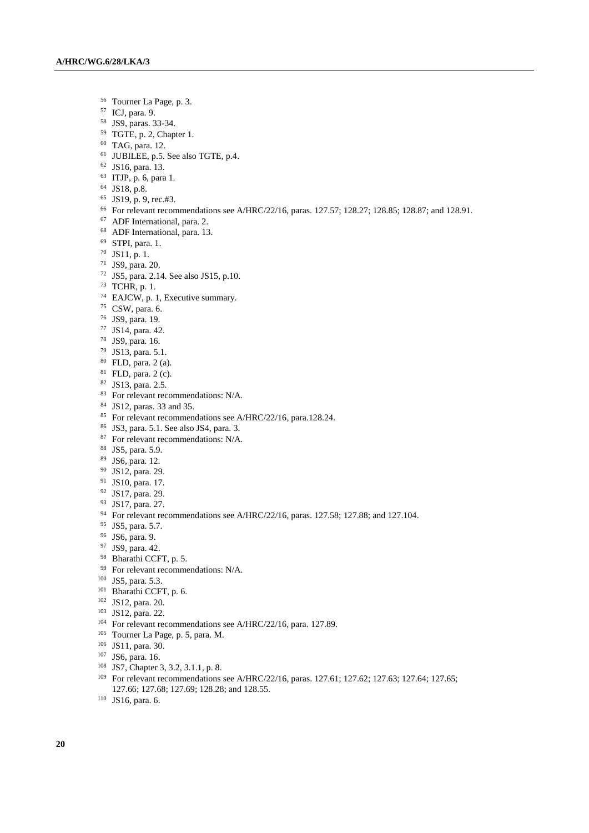- Tourner La Page, p. 3.
- ICJ, para. 9.
- JS9, paras. 33-34.
- TGTE, p. 2, Chapter 1.
- TAG, para. 12.
- JUBILEE, p.5. See also TGTE, p.4.
- JS16, para. 13.
- ITJP, p. 6, para 1.
- JS18, p.8.
- JS19, p. 9, rec.#3.
- For relevant recommendations see A/HRC/22/16, paras. 127.57; 128.27; 128.85; 128.87; and 128.91.
- ADF International, para. 2.
- ADF International, para. 13.
- STPI, para. 1.
- JS11, p. 1.
- JS9, para. 20.
- JS5, para. 2.14. See also JS15, p.10.
- TCHR, p. 1.
- EAJCW, p. 1, Executive summary.
- CSW, para. 6.
- JS9, para. 19.
- JS14, para. 42.
- JS9, para. 16.
- JS13, para. 5.1.
- FLD, para. 2 (a).
- FLD, para. 2 (c).
- JS13, para. 2.5.
- <sup>83</sup> For relevant recommendations: N/A.
- JS12, paras. 33 and 35.
- <sup>85</sup> For relevant recommendations see A/HRC/22/16, para.128.24.
- JS3, para. 5.1. See also JS4, para. 3.
- <sup>87</sup> For relevant recommendations: N/A.
- JS5, para. 5.9.
- JS6, para. 12.
- JS12, para. 29.
- JS10, para. 17.
- JS17, para. 29.
- JS17, para. 27.
- For relevant recommendations see A/HRC/22/16, paras. 127.58; 127.88; and 127.104.
- JS5, para. 5.7.
- JS6, para. 9.
- JS9, para. 42.
- 98 Bharathi CCFT, p. 5.
- <sup>99</sup> For relevant recommendations: N/A.
- JS5, para. 5.3.
- Bharathi CCFT, p. 6.
- JS12, para. 20.
- JS12, para. 22.
- <sup>104</sup> For relevant recommendations see A/HRC/22/16, para. 127.89.
- Tourner La Page, p. 5, para. M.
- JS11, para. 30.
- JS6, para. 16.
- JS7, Chapter 3, 3.2, 3.1.1, p. 8.
- <sup>109</sup> For relevant recommendations see A/HRC/22/16, paras. 127.61; 127.62; 127.63; 127.64; 127.65; 127.66; 127.68; 127.69; 128.28; and 128.55.
- JS16, para. 6.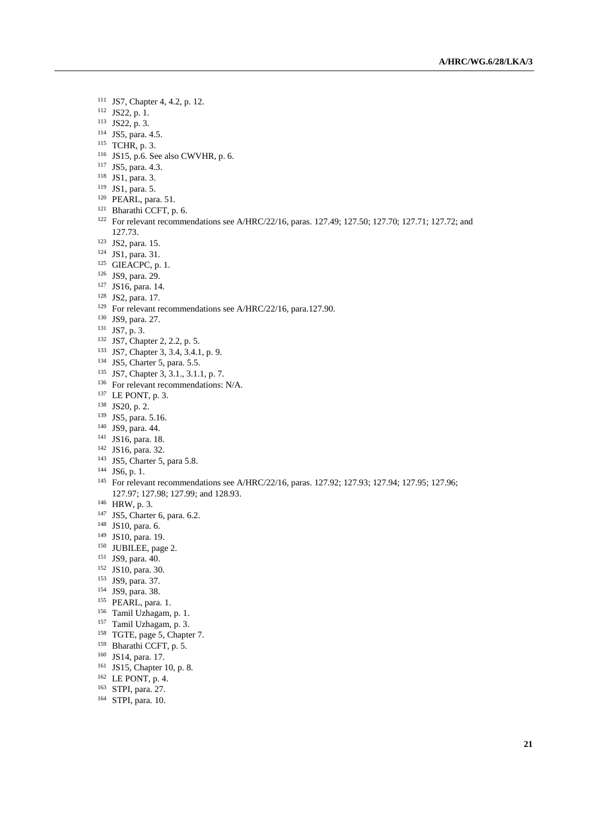- JS7, Chapter 4, 4.2, p. 12.
- JS22, p. 1.
- JS22, p. 3.
- JS5, para. 4.5.
- TCHR, p. 3.
- JS15, p.6. See also CWVHR, p. 6.
- JS5, para. 4.3.
- JS1, para. 3.
- JS1, para. 5.
- PEARL, para. 51.
- Bharathi CCFT, p. 6.
- For relevant recommendations see A/HRC/22/16, paras. 127.49; 127.50; 127.70; 127.71; 127.72; and 127.73.
- JS2, para. 15.
- JS1, para. 31.
- GIEACPC, p. 1.
- JS9, para. 29.
- JS16, para. 14.
- JS2, para. 17.
- <sup>129</sup> For relevant recommendations see A/HRC/22/16, para.127.90.
- JS9, para. 27.
- JS7, p. 3.
- JS7, Chapter 2, 2.2, p. 5.
- JS7, Chapter 3, 3.4, 3.4.1, p. 9.
- JS5, Charter 5, para. 5.5.
- JS7, Chapter 3, 3.1., 3.1.1, p. 7.
- <sup>136</sup> For relevant recommendations: N/A.
- <sup>137</sup> LE PONT, p. 3.
- JS20, p. 2.
- JS5, para. 5.16.
- JS9, para. 44.
- JS16, para. 18.
- JS16, para. 32.
- <sup>143</sup> JS5, Charter 5, para 5.8.
- JS6, p. 1.
- <sup>145</sup> For relevant recommendations see A/HRC/22/16, paras. 127.92; 127.93; 127.94; 127.95; 127.96; 127.97; 127.98; 127.99; and 128.93.
- HRW, p. 3.
- JS5, Charter 6, para. 6.2.
- JS10, para. 6.
- JS10, para. 19.
- <sup>150</sup> JUBILEE, page 2.
- JS9, para. 40.
- JS10, para. 30.
- JS9, para. 37.
- JS9, para. 38.
- PEARL, para. 1.
- Tamil Uzhagam, p. 1.
- Tamil Uzhagam, p. 3.
- TGTE, page 5, Chapter 7.
- Bharathi CCFT, p. 5.
- JS14, para. 17.
- JS15, Chapter 10, p. 8.
- LE PONT, p. 4.
- STPI, para. 27.
- STPI, para. 10.